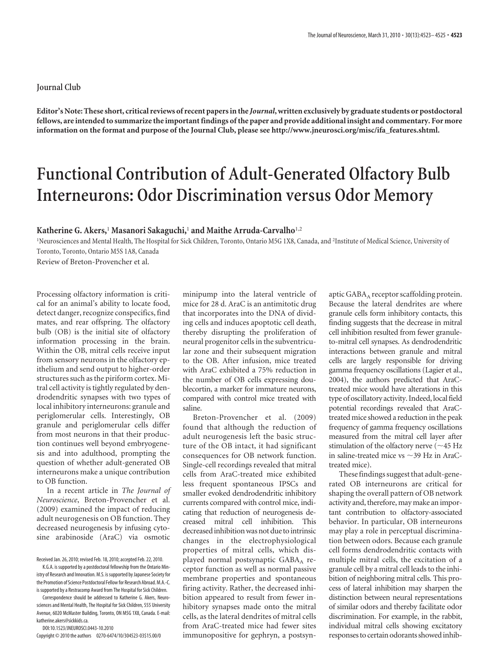## **Journal Club**

**Editor's Note: These short, critical reviews of recent papers in the** *Journal***, written exclusively by graduate students or postdoctoral fellows, are intended to summarize the important findings of the paper and provide additional insight and commentary. For more information on the format and purpose of the Journal Club, please see http://www.jneurosci.org/misc/ifa\_features.shtml.**

## **Functional Contribution of Adult-Generated Olfactory Bulb Interneurons: Odor Discrimination versus Odor Memory**

## **Katherine G. Akers,**<sup>1</sup> **Masanori Sakaguchi,**<sup>1</sup> **and Maithe Arruda-Carvalho**1,2

<sup>1</sup>Neurosciences and Mental Health, The Hospital for Sick Children, Toronto, Ontario M5G 1X8, Canada, and <sup>2</sup>Institute of Medical Science, University of Toronto, Toronto, Ontario M5S 1A8, Canada

Review of Breton-Provencher et al.

Processing olfactory information is critical for an animal's ability to locate food, detect danger, recognize conspecifics, find mates, and rear offspring. The olfactory bulb (OB) is the initial site of olfactory information processing in the brain. Within the OB, mitral cells receive input from sensory neurons in the olfactory epithelium and send output to higher-order structures such as the piriform cortex. Mitral cell activity is tightly regulated by dendrodendritic synapses with two types of local inhibitory interneurons: granule and periglomerular cells. Interestingly, OB granule and periglomerular cells differ from most neurons in that their production continues well beyond embryogenesis and into adulthood, prompting the question of whether adult-generated OB interneurons make a unique contribution to OB function.

In a recent article in *The Journal of Neuroscience*, Breton-Provencher et al. (2009) examined the impact of reducing adult neurogenesis on OB function. They decreased neurogenesis by infusing cytosine arabinoside (AraC) via osmotic

Received Jan. 26, 2010; revised Feb. 18, 2010; accepted Feb. 22, 2010.

DOI:10.1523/JNEUROSCI.0443-10.2010

Copyright © 2010 the authors 0270-6474/10/304523-03\$15.00/0

minipump into the lateral ventricle of mice for 28 d. AraC is an antimitotic drug that incorporates into the DNA of dividing cells and induces apoptotic cell death, thereby disrupting the proliferation of neural progenitor cells in the subventricular zone and their subsequent migration to the OB. After infusion, mice treated with AraC exhibited a 75% reduction in the number of OB cells expressing doublecortin, a marker for immature neurons, compared with control mice treated with saline.

Breton-Provencher et al. (2009) found that although the reduction of adult neurogenesis left the basic structure of the OB intact, it had significant consequences for OB network function. Single-cell recordings revealed that mitral cells from AraC-treated mice exhibited less frequent spontaneous IPSCs and smaller evoked dendrodendritic inhibitory currents compared with control mice, indicating that reduction of neurogenesis decreased mitral cell inhibition. This decreased inhibition was not due to intrinsic changes in the electrophysiological properties of mitral cells, which displayed normal postsynaptic GABA<sub>A</sub> receptor function as well as normal passive membrane properties and spontaneous firing activity. Rather, the decreased inhibition appeared to result from fewer inhibitory synapses made onto the mitral cells, as the lateral dendrites of mitral cells from AraC-treated mice had fewer sites immunopositive for gephryn, a postsynaptic  $GABA_A$  receptor scaffolding protein. Because the lateral dendrites are where granule cells form inhibitory contacts, this finding suggests that the decrease in mitral cell inhibition resulted from fewer granuleto-mitral cell synapses. As dendrodendritic interactions between granule and mitral cells are largely responsible for driving gamma frequency oscillations (Lagier et al., 2004), the authors predicted that AraCtreated mice would have alterations in this type of oscillatory activity. Indeed, local field potential recordings revealed that AraCtreated mice showed a reduction in the peak frequency of gamma frequency oscillations measured from the mitral cell layer after stimulation of the olfactory nerve ( $\sim$ 45 Hz in saline-treated mice vs  $\sim$ 39 Hz in AraCtreated mice).

These findings suggest that adult-generated OB interneurons are critical for shaping the overall pattern of OB network activity and, therefore, may make an important contribution to olfactory-associated behavior. In particular, OB interneurons may play a role in perceptual discrimination between odors. Because each granule cell forms dendrodendritic contacts with multiple mitral cells, the excitation of a granule cell by a mitral cell leads to the inhibition of neighboring mitral cells. This process of lateral inhibition may sharpen the distinction between neural representations of similar odors and thereby facilitate odor discrimination. For example, in the rabbit, individual mitral cells showing excitatory responses to certain odorants showedinhib-

K.G.A. is supported by a postdoctoral fellowship from the Ontario Ministry of Research and Innovation. M.S. issupported by Japanese Society for the Promotion of Science Postdoctoral Fellow for Research Abroad. M.A.-C. is supported by a Restracomp Award from The Hospital for Sick Children.

Correspondence should be addressed to Katherine G. Akers, Neurosciences and Mental Health, The Hospital for Sick Children, 555 University Avenue, 6020 McMaster Building, Toronto, ON M5G 1X8, Canada. E-mail: katherine.akers@sickkids.ca.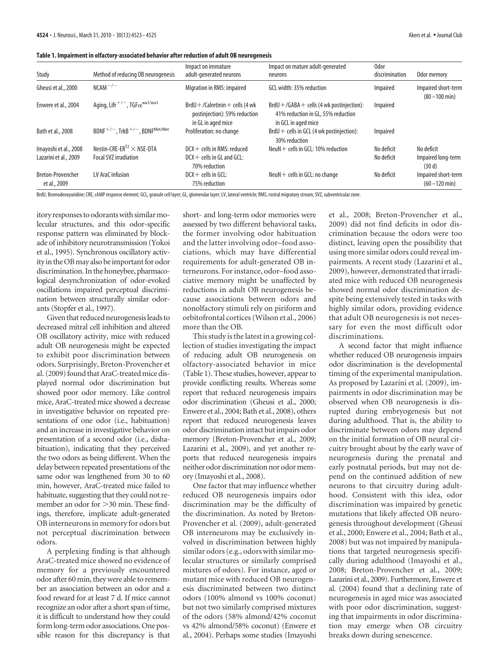|  |  | Table 1. Impairment in olfactory-associated behavior after reduction of adult OB neurogenesis |
|--|--|-----------------------------------------------------------------------------------------------|
|  |  |                                                                                               |

| Study                             | Method of reducing OB neurogenesis                           | Impact on immature<br>adult-generated neurons                                             | Impact on mature adult-generated<br>neurons                                                                | 0dor<br>discrimination | Odor memory                             |
|-----------------------------------|--------------------------------------------------------------|-------------------------------------------------------------------------------------------|------------------------------------------------------------------------------------------------------------|------------------------|-----------------------------------------|
| Gheusi et al., 2000               | $NCAM^{-/-}$                                                 | Migration in RMS: impaired                                                                | GCL width: 35% reduction                                                                                   | Impaired               | Impaired short-term<br>$(80 - 100$ min) |
| Enwere et al., 2004               | Aging, Lifr <sup>+/-</sup> , TGF $\alpha^{\text{wa1/wa1}}$   | $BrdU + /Calretinin + cells$ (4 wk<br>postinjection): 59% reduction<br>in GL in aged mice | $BrdU + / GABA + cells$ (4 wk postinjection):<br>41% reduction in GL, 55% reduction<br>in GCL in aged mice | Impaired               |                                         |
| Bath et al., 2008                 | $BDNF^{+/-}$ , TrkB <sup>+/-</sup> , BDNF <sup>Met/Met</sup> | Proliferation: no change                                                                  | $BrdU +$ cells in GCL (4 wk postiniection):<br>30% reduction                                               | Impaired               |                                         |
| Imayoshi et al., 2008             | Nestin-CRE-ER <sup>T2</sup> $\times$ NSE-DTA                 | $DCX +$ cells in RMS: reduced                                                             | NeuN $+$ cells in GCL: 10% reduction                                                                       | No deficit             | No deficit                              |
| Lazarini et al., 2009             | <b>Focal SVZ irradiation</b>                                 | $DCX +$ cells in GL and GCL:<br>70% reduction                                             |                                                                                                            | No deficit             | Impaired long-term<br>(30d)             |
| Breton-Provencher<br>et al., 2009 | LV AraC infusion                                             | $DCX +$ cells in GCL:<br>75% reduction                                                    | $NeuN +$ cells in GCL: no change                                                                           | No deficit             | Impaired short-term<br>$(60 - 120$ min) |

BrdU, Bromodeoxyuridine; CRE, cAMP response element; GCL, granule cell layer; GL, glomerular layer; LV, lateral ventricle; RMS, rostral migratory stream; SVZ, subventricular zone.

itory responses to odorants with similar molecular structures, and this odor-specific response pattern was eliminated by blockade of inhibitory neurotransmission (Yokoi et al., 1995). Synchronous oscillatory activity in the OB may also be important for odor discrimination. In the honeybee, pharmacological desynchronization of odor-evoked oscillations impaired perceptual discrimination between structurally similar odorants (Stopfer et al., 1997).

Given that reduced neurogenesisleads to decreased mitral cell inhibition and altered OB oscillatory activity, mice with reduced adult OB neurogenesis might be expected to exhibit poor discrimination between odors. Surprisingly, Breton-Provencher et al. (2009) found that AraC-treated mice displayed normal odor discrimination but showed poor odor memory. Like control mice, AraC-treated mice showed a decrease in investigative behavior on repeated presentations of one odor (i.e., habituation) and an increase in investigative behavior on presentation of a second odor (i.e., dishabituation), indicating that they perceived the two odors as being different. When the delay between repeated presentations of the same odor was lengthened from 30 to 60 min, however, AraC-treated mice failed to habituate, suggesting that they could not remember an odor for  $>$  30 min. These findings, therefore, implicate adult-generated OB interneurons in memory for odors but not perceptual discrimination between odors.

A perplexing finding is that although AraC-treated mice showed no evidence of memory for a previously encountered odor after 60 min, they were able to remember an association between an odor and a food reward for at least 7 d. If mice cannot recognize an odor after a short span of time, it is difficult to understand how they could form long-term odor associations. One possible reason for this discrepancy is that short- and long-term odor memories were assessed by two different behavioral tasks, the former involving odor habituation and the latter involving odor–food associations, which may have differential requirements for adult-generated OB interneurons. For instance, odor–food associative memory might be unaffected by reductions in adult OB neurogenesis because associations between odors and nonolfactory stimuli rely on piriform and orbitofrontal cortices (Wilson et al., 2006) more than the OB.

This study is the latest in a growing collection of studies investigating the impact of reducing adult OB neurogenesis on olfactory-associated behavior in mice (Table 1). These studies, however, appear to provide conflicting results. Whereas some report that reduced neurogenesis impairs odor discrimination (Gheusi et al., 2000; Enwere et al., 2004; Bath et al., 2008), others report that reduced neurogenesis leaves odor discrimination intact but impairs odor memory (Breton-Provencher et al., 2009; Lazarini et al., 2009), and yet another reports that reduced neurogenesis impairs neither odor discrimination nor odor memory (Imayoshi et al., 2008).

One factor that may influence whether reduced OB neurogenesis impairs odor discrimination may be the difficulty of the discrimination. As noted by Breton-Provencher et al. (2009), adult-generated OB interneurons may be exclusively involved in discrimination between highly similar odors (e.g., odors with similar molecular structures or similarly comprised mixtures of odors). For instance, aged or mutant mice with reduced OB neurogenesis discriminated between two distinct odors (100% almond vs 100% coconut) but not two similarly comprised mixtures of the odors (58% almond/42% coconut vs 42% almond/58% coconut) (Enwere et al., 2004). Perhaps some studies (Imayoshi

et al., 2008; Breton-Provencher et al., 2009) did not find deficits in odor discrimination because the odors were too distinct, leaving open the possibility that using more similar odors could reveal impairments. A recent study (Lazarini et al., 2009), however, demonstrated that irradiated mice with reduced OB neurogenesis showed normal odor discrimination despite being extensively tested in tasks with highly similar odors, providing evidence that adult OB neurogenesis is not necessary for even the most difficult odor discriminations.

A second factor that might influence whether reduced OB neurogenesis impairs odor discrimination is the developmental timing of the experimental manipulation. As proposed by Lazarini et al. (2009), impairments in odor discrimination may be observed when OB neurogenesis is disrupted during embryogenesis but not during adulthood. That is, the ability to discriminate between odors may depend on the initial formation of OB neural circuitry brought about by the early wave of neurogenesis during the prenatal and early postnatal periods, but may not depend on the continued addition of new neurons to that circuitry during adulthood. Consistent with this idea, odor discrimination was impaired by genetic mutations that likely affected OB neurogenesis throughout development (Gheusi et al., 2000; Enwere et al., 2004; Bath et al., 2008) but was not impaired by manipulations that targeted neurogenesis specifically during adulthood (Imayoshi et al., 2008; Breton-Provencher et al., 2009; Lazarini et al., 2009). Furthermore, Enwere et al. (2004) found that a declining rate of neurogenesis in aged mice was associated with poor odor discrimination, suggesting that impairments in odor discrimination may emerge when OB circuitry breaks down during senescence.